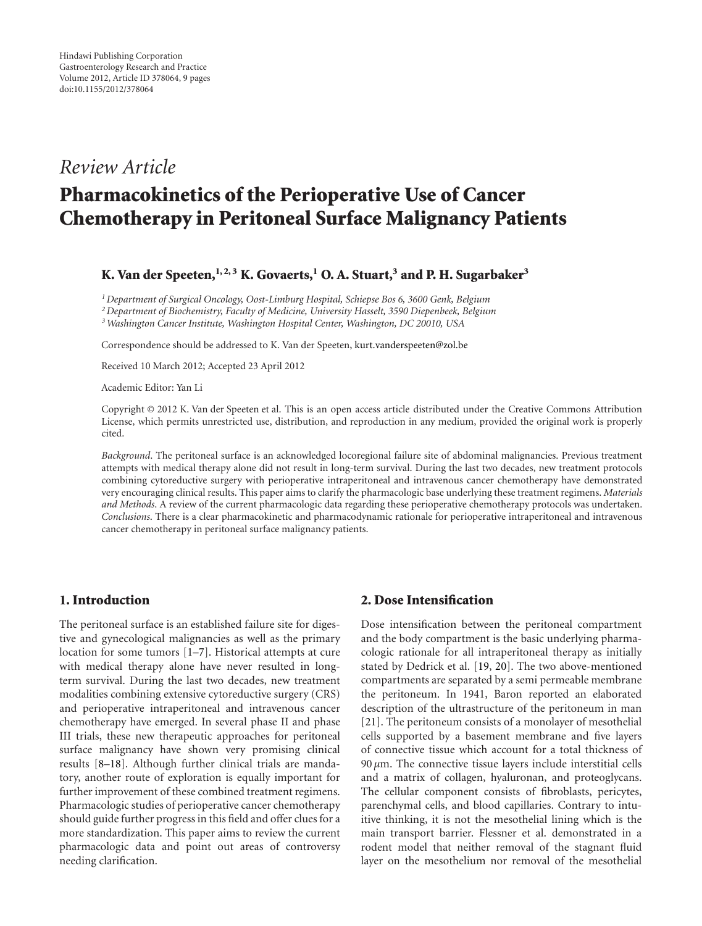## *Review Article*

# **Pharmacokinetics of the Perioperative Use of Cancer Chemotherapy in Peritoneal Surface Malignancy Patients**

#### **K. Van der Speeten,**  $1, 2, 3$  **K. Govaerts,**  $1$  **O.** A. Stuart,  $3$  and P. H. Sugarbaker  $3$

*1Department of Surgical Oncology, Oost-Limburg Hospital, Schiepse Bos 6, 3600 Genk, Belgium 2Department of Biochemistry, Faculty of Medicine, University Hasselt, 3590 Diepenbeek, Belgium*

*3Washington Cancer Institute, Washington Hospital Center, Washington, DC 20010, USA*

Correspondence should be addressed to K. Van der Speeten, kurt.vanderspeeten@zol.be

Received 10 March 2012; Accepted 23 April 2012

Academic Editor: Yan Li

Copyright © 2012 K. Van der Speeten et al. This is an open access article distributed under the Creative Commons Attribution License, which permits unrestricted use, distribution, and reproduction in any medium, provided the original work is properly cited.

*Background*. The peritoneal surface is an acknowledged locoregional failure site of abdominal malignancies. Previous treatment attempts with medical therapy alone did not result in long-term survival. During the last two decades, new treatment protocols combining cytoreductive surgery with perioperative intraperitoneal and intravenous cancer chemotherapy have demonstrated very encouraging clinical results. This paper aims to clarify the pharmacologic base underlying these treatment regimens. *Materials and Methods*. A review of the current pharmacologic data regarding these perioperative chemotherapy protocols was undertaken. *Conclusions*. There is a clear pharmacokinetic and pharmacodynamic rationale for perioperative intraperitoneal and intravenous cancer chemotherapy in peritoneal surface malignancy patients.

#### **1. Introduction**

The peritoneal surface is an established failure site for digestive and gynecological malignancies as well as the primary location for some tumors [1–7]. Historical attempts at cure with medical therapy alone have never resulted in longterm survival. During the last two decades, new treatment modalities combining extensive cytoreductive surgery (CRS) and perioperative intraperitoneal and intravenous cancer chemotherapy have emerged. In several phase II and phase III trials, these new therapeutic approaches for peritoneal surface malignancy have shown very promising clinical results [8–18]. Although further clinical trials are mandatory, another route of exploration is equally important for further improvement of these combined treatment regimens. Pharmacologic studies of perioperative cancer chemotherapy should guide further progress in this field and offer clues for a more standardization. This paper aims to review the current pharmacologic data and point out areas of controversy needing clarification.

#### **2. Dose Intensification**

Dose intensification between the peritoneal compartment and the body compartment is the basic underlying pharmacologic rationale for all intraperitoneal therapy as initially stated by Dedrick et al. [19, 20]. The two above-mentioned compartments are separated by a semi permeable membrane the peritoneum. In 1941, Baron reported an elaborated description of the ultrastructure of the peritoneum in man [21]. The peritoneum consists of a monolayer of mesothelial cells supported by a basement membrane and five layers of connective tissue which account for a total thickness of 90 *µ*m. The connective tissue layers include interstitial cells and a matrix of collagen, hyaluronan, and proteoglycans. The cellular component consists of fibroblasts, pericytes, parenchymal cells, and blood capillaries. Contrary to intuitive thinking, it is not the mesothelial lining which is the main transport barrier. Flessner et al. demonstrated in a rodent model that neither removal of the stagnant fluid layer on the mesothelium nor removal of the mesothelial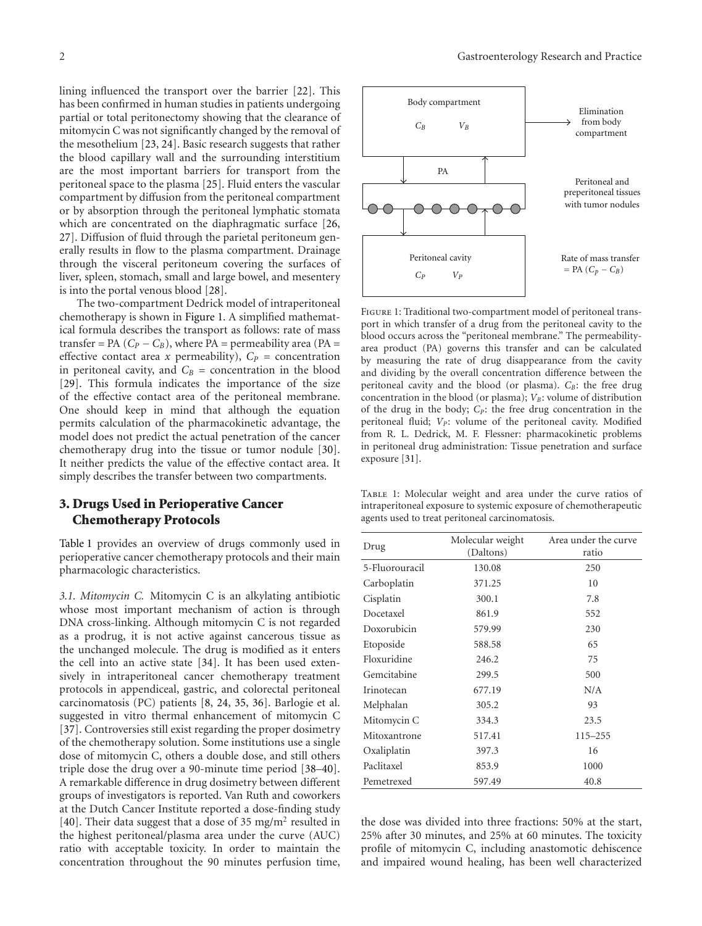lining influenced the transport over the barrier [22]. This has been confirmed in human studies in patients undergoing partial or total peritonectomy showing that the clearance of mitomycin C was not significantly changed by the removal of the mesothelium [23, 24]. Basic research suggests that rather the blood capillary wall and the surrounding interstitium are the most important barriers for transport from the peritoneal space to the plasma [25]. Fluid enters the vascular compartment by diffusion from the peritoneal compartment or by absorption through the peritoneal lymphatic stomata which are concentrated on the diaphragmatic surface [26, 27]. Diffusion of fluid through the parietal peritoneum generally results in flow to the plasma compartment. Drainage through the visceral peritoneum covering the surfaces of liver, spleen, stomach, small and large bowel, and mesentery is into the portal venous blood [28].

The two-compartment Dedrick model of intraperitoneal chemotherapy is shown in Figure 1. A simplified mathematical formula describes the transport as follows: rate of mass transfer = PA  $(C_P - C_B)$ , where PA = permeability area (PA = effective contact area *x* permeability),  $C_P$  = concentration in peritoneal cavity, and  $C_B$  = concentration in the blood [29]. This formula indicates the importance of the size of the effective contact area of the peritoneal membrane. One should keep in mind that although the equation permits calculation of the pharmacokinetic advantage, the model does not predict the actual penetration of the cancer chemotherapy drug into the tissue or tumor nodule [30]. It neither predicts the value of the effective contact area. It simply describes the transfer between two compartments.

#### **3. Drugs Used in Perioperative Cancer Chemotherapy Protocols**

Table 1 provides an overview of drugs commonly used in perioperative cancer chemotherapy protocols and their main pharmacologic characteristics.

*3.1. Mitomycin C.* Mitomycin C is an alkylating antibiotic whose most important mechanism of action is through DNA cross-linking. Although mitomycin C is not regarded as a prodrug, it is not active against cancerous tissue as the unchanged molecule. The drug is modified as it enters the cell into an active state [34]. It has been used extensively in intraperitoneal cancer chemotherapy treatment protocols in appendiceal, gastric, and colorectal peritoneal carcinomatosis (PC) patients [8, 24, 35, 36]. Barlogie et al. suggested in vitro thermal enhancement of mitomycin C [37]. Controversies still exist regarding the proper dosimetry of the chemotherapy solution. Some institutions use a single dose of mitomycin C, others a double dose, and still others triple dose the drug over a 90-minute time period [38–40]. A remarkable difference in drug dosimetry between different groups of investigators is reported. Van Ruth and coworkers at the Dutch Cancer Institute reported a dose-finding study [40]. Their data suggest that a dose of 35 mg/m<sup>2</sup> resulted in the highest peritoneal/plasma area under the curve (AUC) ratio with acceptable toxicity. In order to maintain the concentration throughout the 90 minutes perfusion time,



Figure 1: Traditional two-compartment model of peritoneal transport in which transfer of a drug from the peritoneal cavity to the blood occurs across the "peritoneal membrane." The permeabilityarea product (PA) governs this transfer and can be calculated by measuring the rate of drug disappearance from the cavity and dividing by the overall concentration difference between the peritoneal cavity and the blood (or plasma).  $C_B$ : the free drug concentration in the blood (or plasma);  $V_B$ : volume of distribution of the drug in the body;  $C_P$ : the free drug concentration in the peritoneal fluid; V<sub>P</sub>: volume of the peritoneal cavity. Modified from R. L. Dedrick, M. F. Flessner: pharmacokinetic problems in peritoneal drug administration: Tissue penetration and surface exposure [31].

Table 1: Molecular weight and area under the curve ratios of intraperitoneal exposure to systemic exposure of chemotherapeutic agents used to treat peritoneal carcinomatosis.

| Drug           | Molecular weight<br>(Daltons) | Area under the curve<br>ratio |
|----------------|-------------------------------|-------------------------------|
| 5-Fluorouracil | 130.08                        | 250                           |
| Carboplatin    | 371.25                        | 10                            |
| Cisplatin      | 300.1                         | 7.8                           |
| Docetaxel      | 861.9                         | 552                           |
| Doxorubicin    | 579.99                        | 230                           |
| Etoposide      | 588.58                        | 65                            |
| Floxuridine    | 246.2                         | 75                            |
| Gemcitabine    | 299.5                         | 500                           |
| Irinotecan     | 677.19                        | N/A                           |
| Melphalan      | 305.2                         | 93                            |
| Mitomycin C    | 334.3                         | 23.5                          |
| Mitoxantrone   | 517.41                        | 115-255                       |
| Oxaliplatin    | 397.3                         | 16                            |
| Paclitaxel     | 853.9                         | 1000                          |
| Pemetrexed     | 597.49                        | 40.8                          |

the dose was divided into three fractions: 50% at the start, 25% after 30 minutes, and 25% at 60 minutes. The toxicity profile of mitomycin C, including anastomotic dehiscence and impaired wound healing, has been well characterized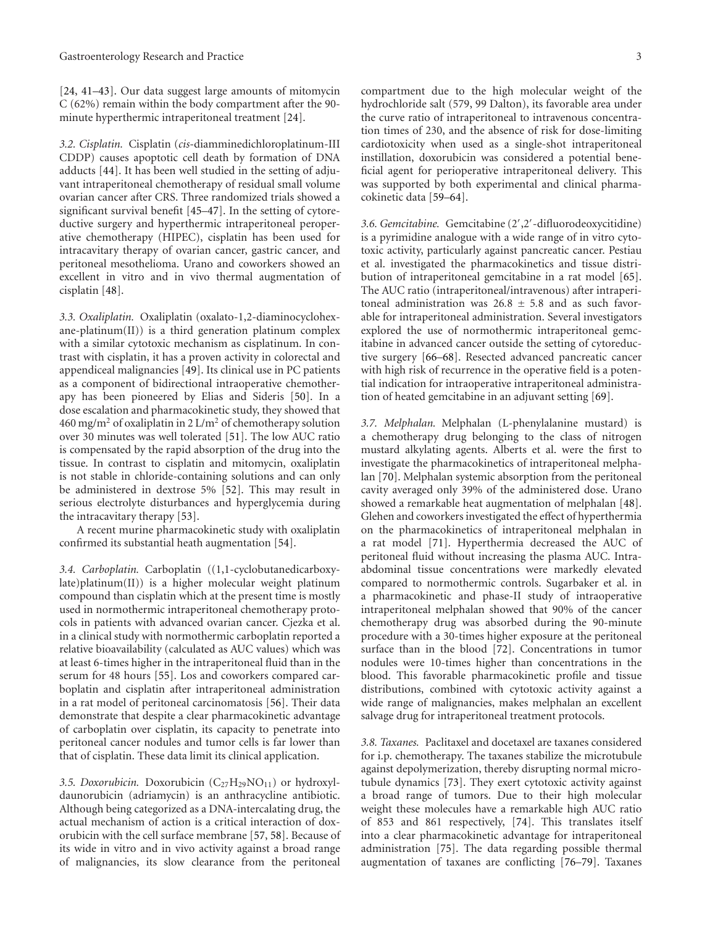[24, 41–43]. Our data suggest large amounts of mitomycin C (62%) remain within the body compartment after the 90 minute hyperthermic intraperitoneal treatment [24].

*3.2. Cisplatin.* Cisplatin (*cis*-diamminedichloroplatinum-III CDDP) causes apoptotic cell death by formation of DNA adducts [44]. It has been well studied in the setting of adjuvant intraperitoneal chemotherapy of residual small volume ovarian cancer after CRS. Three randomized trials showed a significant survival benefit [45–47]. In the setting of cytoreductive surgery and hyperthermic intraperitoneal peroperative chemotherapy (HIPEC), cisplatin has been used for intracavitary therapy of ovarian cancer, gastric cancer, and peritoneal mesothelioma. Urano and coworkers showed an excellent in vitro and in vivo thermal augmentation of cisplatin [48].

*3.3. Oxaliplatin.* Oxaliplatin (oxalato-1,2-diaminocyclohexane-platinum $(II)$ ) is a third generation platinum complex with a similar cytotoxic mechanism as cisplatinum. In contrast with cisplatin, it has a proven activity in colorectal and appendiceal malignancies [49]. Its clinical use in PC patients as a component of bidirectional intraoperative chemotherapy has been pioneered by Elias and Sideris [50]. In a dose escalation and pharmacokinetic study, they showed that 460 mg/m<sup>2</sup> of oxaliplatin in 2 L/m<sup>2</sup> of chemotherapy solution over 30 minutes was well tolerated [51]. The low AUC ratio is compensated by the rapid absorption of the drug into the tissue. In contrast to cisplatin and mitomycin, oxaliplatin is not stable in chloride-containing solutions and can only be administered in dextrose 5% [52]. This may result in serious electrolyte disturbances and hyperglycemia during the intracavitary therapy [53].

A recent murine pharmacokinetic study with oxaliplatin confirmed its substantial heath augmentation [54].

*3.4. Carboplatin.* Carboplatin ((1,1-cyclobutanedicarboxylate)platinum(II)) is a higher molecular weight platinum compound than cisplatin which at the present time is mostly used in normothermic intraperitoneal chemotherapy protocols in patients with advanced ovarian cancer. Cjezka et al. in a clinical study with normothermic carboplatin reported a relative bioavailability (calculated as AUC values) which was at least 6-times higher in the intraperitoneal fluid than in the serum for 48 hours [55]. Los and coworkers compared carboplatin and cisplatin after intraperitoneal administration in a rat model of peritoneal carcinomatosis [56]. Their data demonstrate that despite a clear pharmacokinetic advantage of carboplatin over cisplatin, its capacity to penetrate into peritoneal cancer nodules and tumor cells is far lower than that of cisplatin. These data limit its clinical application.

3.5. Doxorubicin. Doxorubicin (C<sub>27</sub>H<sub>29</sub>NO<sub>11</sub>) or hydroxyldaunorubicin (adriamycin) is an anthracycline antibiotic. Although being categorized as a DNA-intercalating drug, the actual mechanism of action is a critical interaction of doxorubicin with the cell surface membrane [57, 58]. Because of its wide in vitro and in vivo activity against a broad range of malignancies, its slow clearance from the peritoneal

compartment due to the high molecular weight of the hydrochloride salt (579, 99 Dalton), its favorable area under the curve ratio of intraperitoneal to intravenous concentration times of 230, and the absence of risk for dose-limiting cardiotoxicity when used as a single-shot intraperitoneal instillation, doxorubicin was considered a potential beneficial agent for perioperative intraperitoneal delivery. This was supported by both experimental and clinical pharmacokinetic data [59–64].

3.6. Gemcitabine. Gemcitabine (2',2'-difluorodeoxycitidine) is a pyrimidine analogue with a wide range of in vitro cytotoxic activity, particularly against pancreatic cancer. Pestiau et al. investigated the pharmacokinetics and tissue distribution of intraperitoneal gemcitabine in a rat model [65]. The AUC ratio (intraperitoneal/intravenous) after intraperitoneal administration was 26*.*<sup>8</sup> <sup>±</sup> <sup>5</sup>*.*8 and as such favorable for intraperitoneal administration. Several investigators explored the use of normothermic intraperitoneal gemcitabine in advanced cancer outside the setting of cytoreductive surgery [66–68]. Resected advanced pancreatic cancer with high risk of recurrence in the operative field is a potential indication for intraoperative intraperitoneal administration of heated gemcitabine in an adjuvant setting [69].

*3.7. Melphalan.* Melphalan (L-phenylalanine mustard) is a chemotherapy drug belonging to the class of nitrogen mustard alkylating agents. Alberts et al. were the first to investigate the pharmacokinetics of intraperitoneal melphalan [70]. Melphalan systemic absorption from the peritoneal cavity averaged only 39% of the administered dose. Urano showed a remarkable heat augmentation of melphalan [48]. Glehen and coworkers investigated the effect of hyperthermia on the pharmacokinetics of intraperitoneal melphalan in a rat model [71]. Hyperthermia decreased the AUC of peritoneal fluid without increasing the plasma AUC. Intraabdominal tissue concentrations were markedly elevated compared to normothermic controls. Sugarbaker et al. in a pharmacokinetic and phase-II study of intraoperative intraperitoneal melphalan showed that 90% of the cancer chemotherapy drug was absorbed during the 90-minute procedure with a 30-times higher exposure at the peritoneal surface than in the blood [72]. Concentrations in tumor nodules were 10-times higher than concentrations in the blood. This favorable pharmacokinetic profile and tissue distributions, combined with cytotoxic activity against a wide range of malignancies, makes melphalan an excellent salvage drug for intraperitoneal treatment protocols.

*3.8. Taxanes.* Paclitaxel and docetaxel are taxanes considered for i.p. chemotherapy. The taxanes stabilize the microtubule against depolymerization, thereby disrupting normal microtubule dynamics [73]. They exert cytotoxic activity against a broad range of tumors. Due to their high molecular weight these molecules have a remarkable high AUC ratio of 853 and 861 respectively, [74]. This translates itself into a clear pharmacokinetic advantage for intraperitoneal administration [75]. The data regarding possible thermal augmentation of taxanes are conflicting [76–79]. Taxanes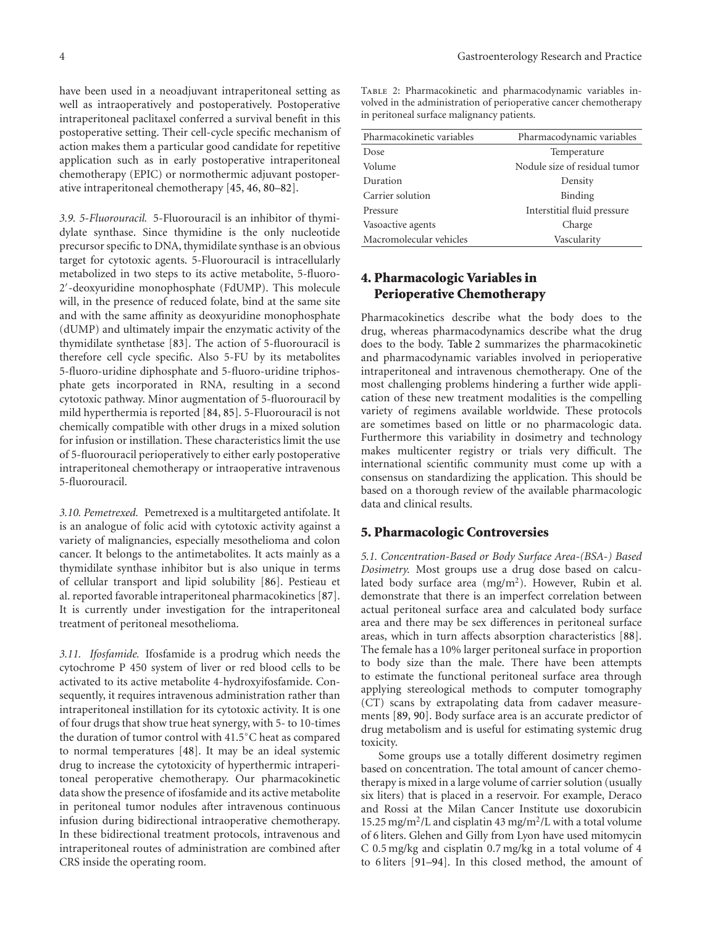have been used in a neoadjuvant intraperitoneal setting as well as intraoperatively and postoperatively. Postoperative intraperitoneal paclitaxel conferred a survival benefit in this postoperative setting. Their cell-cycle specific mechanism of action makes them a particular good candidate for repetitive application such as in early postoperative intraperitoneal chemotherapy (EPIC) or normothermic adjuvant postoperative intraperitoneal chemotherapy [45, 46, 80–82].

*3.9. 5-Fluorouracil.* 5-Fluorouracil is an inhibitor of thymidylate synthase. Since thymidine is the only nucleotide precursor specific to DNA, thymidilate synthase is an obvious target for cytotoxic agents. 5-Fluorouracil is intracellularly metabolized in two steps to its active metabolite, 5-fluoro-2- -deoxyuridine monophosphate (FdUMP). This molecule will, in the presence of reduced folate, bind at the same site and with the same affinity as deoxyuridine monophosphate (dUMP) and ultimately impair the enzymatic activity of the thymidilate synthetase [83]. The action of 5-fluorouracil is therefore cell cycle specific. Also 5-FU by its metabolites 5-fluoro-uridine diphosphate and 5-fluoro-uridine triphosphate gets incorporated in RNA, resulting in a second cytotoxic pathway. Minor augmentation of 5-fluorouracil by mild hyperthermia is reported [84, 85]. 5-Fluorouracil is not chemically compatible with other drugs in a mixed solution for infusion or instillation. These characteristics limit the use of 5-fluorouracil perioperatively to either early postoperative intraperitoneal chemotherapy or intraoperative intravenous 5-fluorouracil.

*3.10. Pemetrexed.* Pemetrexed is a multitargeted antifolate. It is an analogue of folic acid with cytotoxic activity against a variety of malignancies, especially mesothelioma and colon cancer. It belongs to the antimetabolites. It acts mainly as a thymidilate synthase inhibitor but is also unique in terms of cellular transport and lipid solubility [86]. Pestieau et al. reported favorable intraperitoneal pharmacokinetics [87]. It is currently under investigation for the intraperitoneal treatment of peritoneal mesothelioma.

*3.11. Ifosfamide.* Ifosfamide is a prodrug which needs the cytochrome P 450 system of liver or red blood cells to be activated to its active metabolite 4-hydroxyifosfamide. Consequently, it requires intravenous administration rather than intraperitoneal instillation for its cytotoxic activity. It is one of four drugs that show true heat synergy, with 5- to 10-times the duration of tumor control with 41.5◦C heat as compared to normal temperatures [48]. It may be an ideal systemic drug to increase the cytotoxicity of hyperthermic intraperitoneal peroperative chemotherapy. Our pharmacokinetic data show the presence of ifosfamide and its active metabolite in peritoneal tumor nodules after intravenous continuous infusion during bidirectional intraoperative chemotherapy. In these bidirectional treatment protocols, intravenous and intraperitoneal routes of administration are combined after CRS inside the operating room.

Table 2: Pharmacokinetic and pharmacodynamic variables involved in the administration of perioperative cancer chemotherapy in peritoneal surface malignancy patients.

| Pharmacokinetic variables | Pharmacodynamic variables     |
|---------------------------|-------------------------------|
| Dose                      | Temperature                   |
| Volume                    | Nodule size of residual tumor |
| Duration                  | Density                       |
| Carrier solution          | Binding                       |
| Pressure                  | Interstitial fluid pressure   |
| Vasoactive agents         | Charge                        |
| Macromolecular vehicles   | Vascularity                   |

### **4. Pharmacologic Variables in Perioperative Chemotherapy**

Pharmacokinetics describe what the body does to the drug, whereas pharmacodynamics describe what the drug does to the body. Table 2 summarizes the pharmacokinetic and pharmacodynamic variables involved in perioperative intraperitoneal and intravenous chemotherapy. One of the most challenging problems hindering a further wide application of these new treatment modalities is the compelling variety of regimens available worldwide. These protocols are sometimes based on little or no pharmacologic data. Furthermore this variability in dosimetry and technology makes multicenter registry or trials very difficult. The international scientific community must come up with a consensus on standardizing the application. This should be based on a thorough review of the available pharmacologic data and clinical results.

#### **5. Pharmacologic Controversies**

*5.1. Concentration-Based or Body Surface Area-(BSA-) Based Dosimetry.* Most groups use a drug dose based on calculated body surface area  $(mg/m<sup>2</sup>)$ . However, Rubin et al. demonstrate that there is an imperfect correlation between actual peritoneal surface area and calculated body surface area and there may be sex differences in peritoneal surface areas, which in turn affects absorption characteristics [88]. The female has a 10% larger peritoneal surface in proportion to body size than the male. There have been attempts to estimate the functional peritoneal surface area through applying stereological methods to computer tomography (CT) scans by extrapolating data from cadaver measurements [89, 90]. Body surface area is an accurate predictor of drug metabolism and is useful for estimating systemic drug toxicity.

Some groups use a totally different dosimetry regimen based on concentration. The total amount of cancer chemotherapy is mixed in a large volume of carrier solution (usually six liters) that is placed in a reservoir. For example, Deraco and Rossi at the Milan Cancer Institute use doxorubicin 15.25 mg/m<sup>2</sup>/L and cisplatin 43 mg/m<sup>2</sup>/L with a total volume of 6 liters. Glehen and Gilly from Lyon have used mitomycin C 0.5 mg/kg and cisplatin 0.7 mg/kg in a total volume of 4 to 6 liters [91–94]. In this closed method, the amount of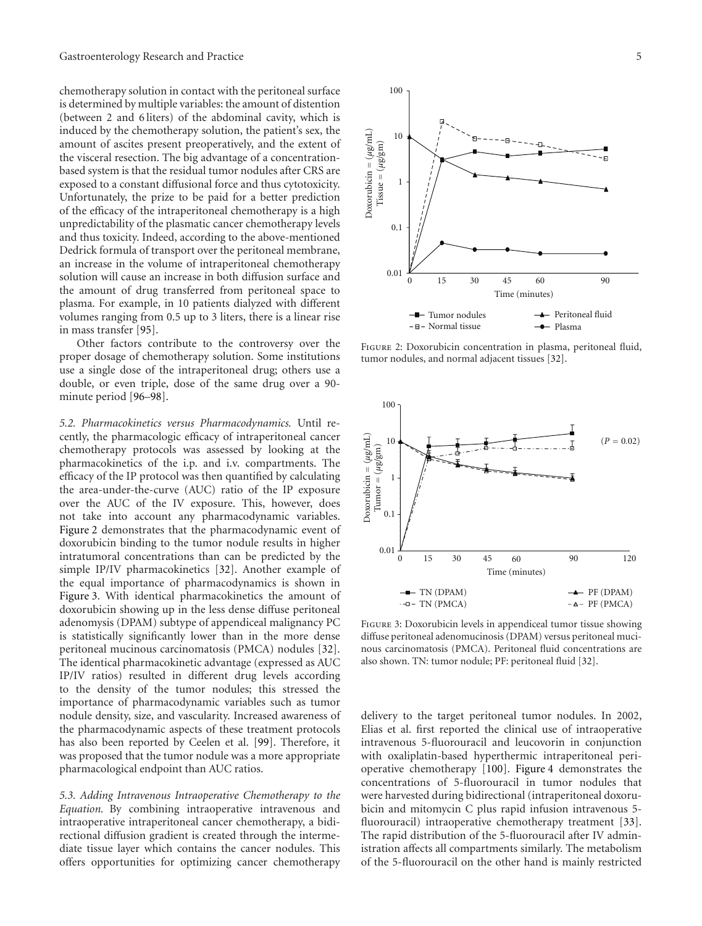chemotherapy solution in contact with the peritoneal surface is determined by multiple variables: the amount of distention (between 2 and 6 liters) of the abdominal cavity, which is induced by the chemotherapy solution, the patient's sex, the amount of ascites present preoperatively, and the extent of the visceral resection. The big advantage of a concentrationbased system is that the residual tumor nodules after CRS are exposed to a constant diffusional force and thus cytotoxicity. Unfortunately, the prize to be paid for a better prediction of the efficacy of the intraperitoneal chemotherapy is a high unpredictability of the plasmatic cancer chemotherapy levels and thus toxicity. Indeed, according to the above-mentioned Dedrick formula of transport over the peritoneal membrane, an increase in the volume of intraperitoneal chemotherapy solution will cause an increase in both diffusion surface and the amount of drug transferred from peritoneal space to plasma. For example, in 10 patients dialyzed with different volumes ranging from 0.5 up to 3 liters, there is a linear rise in mass transfer [95].

Other factors contribute to the controversy over the proper dosage of chemotherapy solution. Some institutions use a single dose of the intraperitoneal drug; others use a double, or even triple, dose of the same drug over a 90 minute period [96–98].

*5.2. Pharmacokinetics versus Pharmacodynamics.* Until recently, the pharmacologic efficacy of intraperitoneal cancer chemotherapy protocols was assessed by looking at the pharmacokinetics of the i.p. and i.v. compartments. The efficacy of the IP protocol was then quantified by calculating the area-under-the-curve (AUC) ratio of the IP exposure over the AUC of the IV exposure. This, however, does not take into account any pharmacodynamic variables. Figure 2 demonstrates that the pharmacodynamic event of doxorubicin binding to the tumor nodule results in higher intratumoral concentrations than can be predicted by the simple IP/IV pharmacokinetics [32]. Another example of the equal importance of pharmacodynamics is shown in Figure 3. With identical pharmacokinetics the amount of doxorubicin showing up in the less dense diffuse peritoneal adenomysis (DPAM) subtype of appendiceal malignancy PC is statistically significantly lower than in the more dense peritoneal mucinous carcinomatosis (PMCA) nodules [32]. The identical pharmacokinetic advantage (expressed as AUC IP/IV ratios) resulted in different drug levels according to the density of the tumor nodules; this stressed the importance of pharmacodynamic variables such as tumor nodule density, size, and vascularity. Increased awareness of the pharmacodynamic aspects of these treatment protocols has also been reported by Ceelen et al. [99]. Therefore, it was proposed that the tumor nodule was a more appropriate pharmacological endpoint than AUC ratios.

*5.3. Adding Intravenous Intraoperative Chemotherapy to the Equation.* By combining intraoperative intravenous and intraoperative intraperitoneal cancer chemotherapy, a bidirectional diffusion gradient is created through the intermediate tissue layer which contains the cancer nodules. This offers opportunities for optimizing cancer chemotherapy





Figure 2: Doxorubicin concentration in plasma, peritoneal fluid, tumor nodules, and normal adjacent tissues [32].



Figure 3: Doxorubicin levels in appendiceal tumor tissue showing diffuse peritoneal adenomucinosis (DPAM) versus peritoneal mucinous carcinomatosis (PMCA). Peritoneal fluid concentrations are also shown. TN: tumor nodule; PF: peritoneal fluid [32].

delivery to the target peritoneal tumor nodules. In 2002, Elias et al. first reported the clinical use of intraoperative intravenous 5-fluorouracil and leucovorin in conjunction with oxaliplatin-based hyperthermic intraperitoneal perioperative chemotherapy [100]. Figure 4 demonstrates the concentrations of 5-fluorouracil in tumor nodules that were harvested during bidirectional (intraperitoneal doxorubicin and mitomycin C plus rapid infusion intravenous 5 fluorouracil) intraoperative chemotherapy treatment [33]. The rapid distribution of the 5-fluorouracil after IV administration affects all compartments similarly. The metabolism of the 5-fluorouracil on the other hand is mainly restricted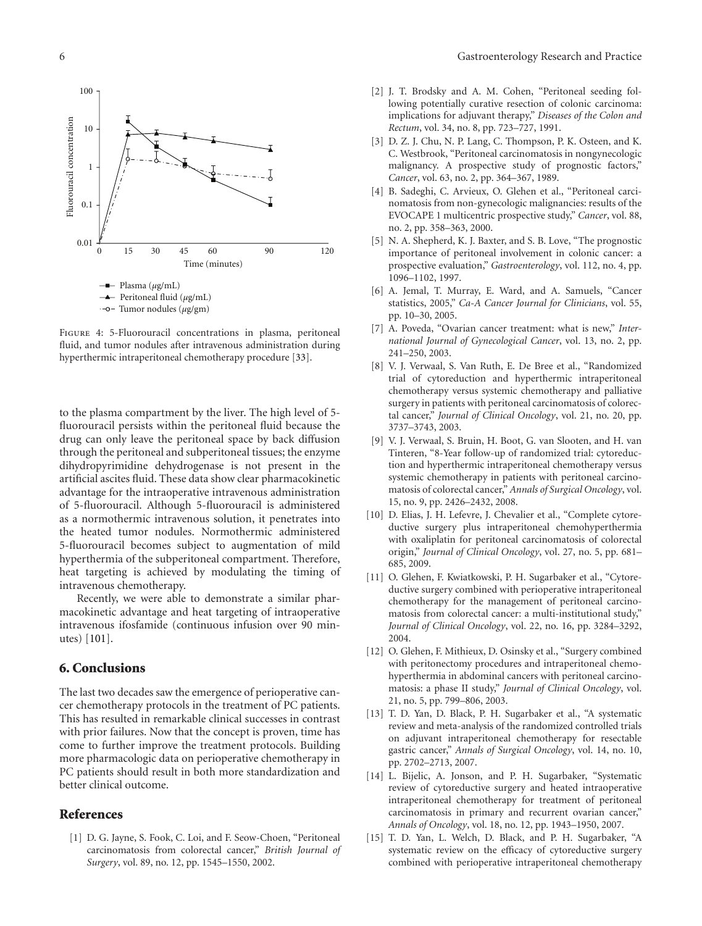

Figure 4: 5-Fluorouracil concentrations in plasma, peritoneal fluid, and tumor nodules after intravenous administration during hyperthermic intraperitoneal chemotherapy procedure [33].

to the plasma compartment by the liver. The high level of 5 fluorouracil persists within the peritoneal fluid because the drug can only leave the peritoneal space by back diffusion through the peritoneal and subperitoneal tissues; the enzyme dihydropyrimidine dehydrogenase is not present in the artificial ascites fluid. These data show clear pharmacokinetic advantage for the intraoperative intravenous administration of 5-fluorouracil. Although 5-fluorouracil is administered as a normothermic intravenous solution, it penetrates into the heated tumor nodules. Normothermic administered 5-fluorouracil becomes subject to augmentation of mild hyperthermia of the subperitoneal compartment. Therefore, heat targeting is achieved by modulating the timing of intravenous chemotherapy.

Recently, we were able to demonstrate a similar pharmacokinetic advantage and heat targeting of intraoperative intravenous ifosfamide (continuous infusion over 90 minutes) [101].

#### **6. Conclusions**

The last two decades saw the emergence of perioperative cancer chemotherapy protocols in the treatment of PC patients. This has resulted in remarkable clinical successes in contrast with prior failures. Now that the concept is proven, time has come to further improve the treatment protocols. Building more pharmacologic data on perioperative chemotherapy in PC patients should result in both more standardization and better clinical outcome.

#### **References**

[1] D. G. Jayne, S. Fook, C. Loi, and F. Seow-Choen, "Peritoneal carcinomatosis from colorectal cancer," *British Journal of Surgery*, vol. 89, no. 12, pp. 1545–1550, 2002.

- [2] J. T. Brodsky and A. M. Cohen, "Peritoneal seeding following potentially curative resection of colonic carcinoma: implications for adjuvant therapy," *Diseases of the Colon and Rectum*, vol. 34, no. 8, pp. 723–727, 1991.
- [3] D. Z. J. Chu, N. P. Lang, C. Thompson, P. K. Osteen, and K. C. Westbrook, "Peritoneal carcinomatosis in nongynecologic malignancy. A prospective study of prognostic factors," *Cancer*, vol. 63, no. 2, pp. 364–367, 1989.
- [4] B. Sadeghi, C. Arvieux, O. Glehen et al., "Peritoneal carcinomatosis from non-gynecologic malignancies: results of the EVOCAPE 1 multicentric prospective study," *Cancer*, vol. 88, no. 2, pp. 358–363, 2000.
- [5] N. A. Shepherd, K. J. Baxter, and S. B. Love, "The prognostic importance of peritoneal involvement in colonic cancer: a prospective evaluation," *Gastroenterology*, vol. 112, no. 4, pp. 1096–1102, 1997.
- [6] A. Jemal, T. Murray, E. Ward, and A. Samuels, "Cancer statistics, 2005," *Ca-A Cancer Journal for Clinicians*, vol. 55, pp. 10–30, 2005.
- [7] A. Poveda, "Ovarian cancer treatment: what is new," *International Journal of Gynecological Cancer*, vol. 13, no. 2, pp. 241–250, 2003.
- [8] V. J. Verwaal, S. Van Ruth, E. De Bree et al., "Randomized trial of cytoreduction and hyperthermic intraperitoneal chemotherapy versus systemic chemotherapy and palliative surgery in patients with peritoneal carcinomatosis of colorectal cancer," *Journal of Clinical Oncology*, vol. 21, no. 20, pp. 3737–3743, 2003.
- [9] V. J. Verwaal, S. Bruin, H. Boot, G. van Slooten, and H. van Tinteren, "8-Year follow-up of randomized trial: cytoreduction and hyperthermic intraperitoneal chemotherapy versus systemic chemotherapy in patients with peritoneal carcinomatosis of colorectal cancer," *Annals of Surgical Oncology*, vol. 15, no. 9, pp. 2426–2432, 2008.
- [10] D. Elias, J. H. Lefevre, J. Chevalier et al., "Complete cytoreductive surgery plus intraperitoneal chemohyperthermia with oxaliplatin for peritoneal carcinomatosis of colorectal origin," *Journal of Clinical Oncology*, vol. 27, no. 5, pp. 681– 685, 2009.
- [11] O. Glehen, F. Kwiatkowski, P. H. Sugarbaker et al., "Cytoreductive surgery combined with perioperative intraperitoneal chemotherapy for the management of peritoneal carcinomatosis from colorectal cancer: a multi-institutional study," *Journal of Clinical Oncology*, vol. 22, no. 16, pp. 3284–3292, 2004.
- [12] O. Glehen, F. Mithieux, D. Osinsky et al., "Surgery combined with peritonectomy procedures and intraperitoneal chemohyperthermia in abdominal cancers with peritoneal carcinomatosis: a phase II study," *Journal of Clinical Oncology*, vol. 21, no. 5, pp. 799–806, 2003.
- [13] T. D. Yan, D. Black, P. H. Sugarbaker et al., "A systematic review and meta-analysis of the randomized controlled trials on adjuvant intraperitoneal chemotherapy for resectable gastric cancer," *Annals of Surgical Oncology*, vol. 14, no. 10, pp. 2702–2713, 2007.
- [14] L. Bijelic, A. Jonson, and P. H. Sugarbaker, "Systematic review of cytoreductive surgery and heated intraoperative intraperitoneal chemotherapy for treatment of peritoneal carcinomatosis in primary and recurrent ovarian cancer," *Annals of Oncology*, vol. 18, no. 12, pp. 1943–1950, 2007.
- [15] T. D. Yan, L. Welch, D. Black, and P. H. Sugarbaker, "A systematic review on the efficacy of cytoreductive surgery combined with perioperative intraperitoneal chemotherapy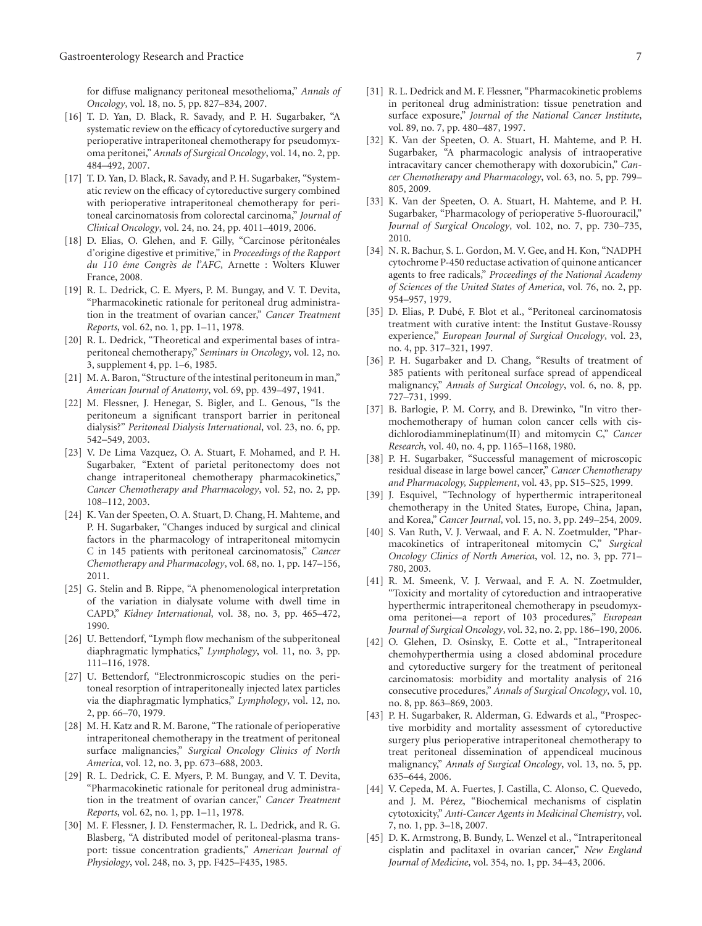for diffuse malignancy peritoneal mesothelioma," *Annals of Oncology*, vol. 18, no. 5, pp. 827–834, 2007.

- [16] T. D. Yan, D. Black, R. Savady, and P. H. Sugarbaker, "A systematic review on the efficacy of cytoreductive surgery and perioperative intraperitoneal chemotherapy for pseudomyxoma peritonei," *Annals of Surgical Oncology*, vol. 14, no. 2, pp. 484–492, 2007.
- [17] T. D. Yan, D. Black, R. Savady, and P. H. Sugarbaker, "Systematic review on the efficacy of cytoreductive surgery combined with perioperative intraperitoneal chemotherapy for peritoneal carcinomatosis from colorectal carcinoma," *Journal of Clinical Oncology*, vol. 24, no. 24, pp. 4011–4019, 2006.
- [18] D. Elias, O. Glehen, and F. Gilly, "Carcinose péritonéales d'origine digestive et primitive," in *Proceedings of the Rapport du 110 ´eme Congr`es de l'AFC*, Arnette : Wolters Kluwer France, 2008.
- [19] R. L. Dedrick, C. E. Myers, P. M. Bungay, and V. T. Devita, "Pharmacokinetic rationale for peritoneal drug administration in the treatment of ovarian cancer," *Cancer Treatment Reports*, vol. 62, no. 1, pp. 1–11, 1978.
- [20] R. L. Dedrick, "Theoretical and experimental bases of intraperitoneal chemotherapy," *Seminars in Oncology*, vol. 12, no. 3, supplement 4, pp. 1–6, 1985.
- [21] M. A. Baron, "Structure of the intestinal peritoneum in man," *American Journal of Anatomy*, vol. 69, pp. 439–497, 1941.
- [22] M. Flessner, J. Henegar, S. Bigler, and L. Genous, "Is the peritoneum a significant transport barrier in peritoneal dialysis?" *Peritoneal Dialysis International*, vol. 23, no. 6, pp. 542–549, 2003.
- [23] V. De Lima Vazquez, O. A. Stuart, F. Mohamed, and P. H. Sugarbaker, "Extent of parietal peritonectomy does not change intraperitoneal chemotherapy pharmacokinetics," *Cancer Chemotherapy and Pharmacology*, vol. 52, no. 2, pp. 108–112, 2003.
- [24] K. Van der Speeten, O. A. Stuart, D. Chang, H. Mahteme, and P. H. Sugarbaker, "Changes induced by surgical and clinical factors in the pharmacology of intraperitoneal mitomycin C in 145 patients with peritoneal carcinomatosis," *Cancer Chemotherapy and Pharmacology*, vol. 68, no. 1, pp. 147–156, 2011.
- [25] G. Stelin and B. Rippe, "A phenomenological interpretation of the variation in dialysate volume with dwell time in CAPD," *Kidney International*, vol. 38, no. 3, pp. 465–472, 1990.
- [26] U. Bettendorf, "Lymph flow mechanism of the subperitoneal diaphragmatic lymphatics," *Lymphology*, vol. 11, no. 3, pp. 111–116, 1978.
- [27] U. Bettendorf, "Electronmicroscopic studies on the peritoneal resorption of intraperitoneally injected latex particles via the diaphragmatic lymphatics," *Lymphology*, vol. 12, no. 2, pp. 66–70, 1979.
- [28] M. H. Katz and R. M. Barone, "The rationale of perioperative intraperitoneal chemotherapy in the treatment of peritoneal surface malignancies," *Surgical Oncology Clinics of North America*, vol. 12, no. 3, pp. 673–688, 2003.
- [29] R. L. Dedrick, C. E. Myers, P. M. Bungay, and V. T. Devita, "Pharmacokinetic rationale for peritoneal drug administration in the treatment of ovarian cancer," *Cancer Treatment Reports*, vol. 62, no. 1, pp. 1–11, 1978.
- [30] M. F. Flessner, J. D. Fenstermacher, R. L. Dedrick, and R. G. Blasberg, "A distributed model of peritoneal-plasma transport: tissue concentration gradients," *American Journal of Physiology*, vol. 248, no. 3, pp. F425–F435, 1985.
- [31] R. L. Dedrick and M. F. Flessner, "Pharmacokinetic problems in peritoneal drug administration: tissue penetration and surface exposure," *Journal of the National Cancer Institute*, vol. 89, no. 7, pp. 480–487, 1997.
- [32] K. Van der Speeten, O. A. Stuart, H. Mahteme, and P. H. Sugarbaker, "A pharmacologic analysis of intraoperative intracavitary cancer chemotherapy with doxorubicin," *Cancer Chemotherapy and Pharmacology*, vol. 63, no. 5, pp. 799– 805, 2009.
- [33] K. Van der Speeten, O. A. Stuart, H. Mahteme, and P. H. Sugarbaker, "Pharmacology of perioperative 5-fluorouracil," *Journal of Surgical Oncology*, vol. 102, no. 7, pp. 730–735, 2010.
- [34] N. R. Bachur, S. L. Gordon, M. V. Gee, and H. Kon, "NADPH cytochrome P-450 reductase activation of quinone anticancer agents to free radicals," *Proceedings of the National Academy of Sciences of the United States of America*, vol. 76, no. 2, pp. 954–957, 1979.
- [35] D. Elias, P. Dubé, F. Blot et al., "Peritoneal carcinomatosis treatment with curative intent: the Institut Gustave-Roussy experience," *European Journal of Surgical Oncology*, vol. 23, no. 4, pp. 317–321, 1997.
- [36] P. H. Sugarbaker and D. Chang, "Results of treatment of 385 patients with peritoneal surface spread of appendiceal malignancy," *Annals of Surgical Oncology*, vol. 6, no. 8, pp. 727–731, 1999.
- [37] B. Barlogie, P. M. Corry, and B. Drewinko, "In vitro thermochemotherapy of human colon cancer cells with cisdichlorodiammineplatinum(II) and mitomycin C," *Cancer Research*, vol. 40, no. 4, pp. 1165–1168, 1980.
- [38] P. H. Sugarbaker, "Successful management of microscopic residual disease in large bowel cancer," *Cancer Chemotherapy and Pharmacology, Supplement*, vol. 43, pp. S15–S25, 1999.
- [39] J. Esquivel, "Technology of hyperthermic intraperitoneal chemotherapy in the United States, Europe, China, Japan, and Korea," *Cancer Journal*, vol. 15, no. 3, pp. 249–254, 2009.
- [40] S. Van Ruth, V. J. Verwaal, and F. A. N. Zoetmulder, "Pharmacokinetics of intraperitoneal mitomycin C," *Surgical Oncology Clinics of North America*, vol. 12, no. 3, pp. 771– 780, 2003.
- [41] R. M. Smeenk, V. J. Verwaal, and F. A. N. Zoetmulder, "Toxicity and mortality of cytoreduction and intraoperative hyperthermic intraperitoneal chemotherapy in pseudomyxoma peritonei—a report of 103 procedures," *European Journal of Surgical Oncology*, vol. 32, no. 2, pp. 186–190, 2006.
- [42] O. Glehen, D. Osinsky, E. Cotte et al., "Intraperitoneal chemohyperthermia using a closed abdominal procedure and cytoreductive surgery for the treatment of peritoneal carcinomatosis: morbidity and mortality analysis of 216 consecutive procedures," *Annals of Surgical Oncology*, vol. 10, no. 8, pp. 863–869, 2003.
- [43] P. H. Sugarbaker, R. Alderman, G. Edwards et al., "Prospective morbidity and mortality assessment of cytoreductive surgery plus perioperative intraperitoneal chemotherapy to treat peritoneal dissemination of appendiceal mucinous malignancy," *Annals of Surgical Oncology*, vol. 13, no. 5, pp. 635–644, 2006.
- [44] V. Cepeda, M. A. Fuertes, J. Castilla, C. Alonso, C. Quevedo, and J. M. Pérez, "Biochemical mechanisms of cisplatin cytotoxicity," *Anti-Cancer Agents in Medicinal Chemistry*, vol. 7, no. 1, pp. 3–18, 2007.
- [45] D. K. Armstrong, B. Bundy, L. Wenzel et al., "Intraperitoneal cisplatin and paclitaxel in ovarian cancer," *New England Journal of Medicine*, vol. 354, no. 1, pp. 34–43, 2006.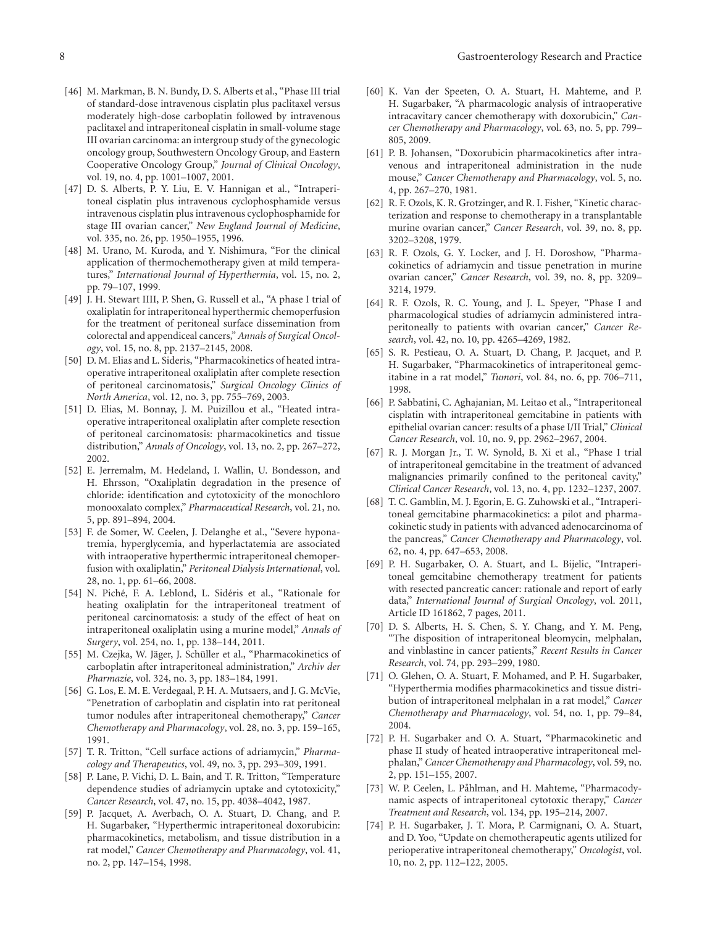- [46] M. Markman, B. N. Bundy, D. S. Alberts et al., "Phase III trial of standard-dose intravenous cisplatin plus paclitaxel versus moderately high-dose carboplatin followed by intravenous paclitaxel and intraperitoneal cisplatin in small-volume stage III ovarian carcinoma: an intergroup study of the gynecologic oncology group, Southwestern Oncology Group, and Eastern Cooperative Oncology Group," *Journal of Clinical Oncology*, vol. 19, no. 4, pp. 1001–1007, 2001.
- [47] D. S. Alberts, P. Y. Liu, E. V. Hannigan et al., "Intraperitoneal cisplatin plus intravenous cyclophosphamide versus intravenous cisplatin plus intravenous cyclophosphamide for stage III ovarian cancer," *New England Journal of Medicine*, vol. 335, no. 26, pp. 1950–1955, 1996.
- [48] M. Urano, M. Kuroda, and Y. Nishimura, "For the clinical application of thermochemotherapy given at mild temperatures," *International Journal of Hyperthermia*, vol. 15, no. 2, pp. 79–107, 1999.
- [49] J. H. Stewart IIII, P. Shen, G. Russell et al., "A phase I trial of oxaliplatin for intraperitoneal hyperthermic chemoperfusion for the treatment of peritoneal surface dissemination from colorectal and appendiceal cancers," *Annals of Surgical Oncology*, vol. 15, no. 8, pp. 2137–2145, 2008.
- [50] D. M. Elias and L. Sideris, "Pharmacokinetics of heated intraoperative intraperitoneal oxaliplatin after complete resection of peritoneal carcinomatosis," *Surgical Oncology Clinics of North America*, vol. 12, no. 3, pp. 755–769, 2003.
- [51] D. Elias, M. Bonnay, J. M. Puizillou et al., "Heated intraoperative intraperitoneal oxaliplatin after complete resection of peritoneal carcinomatosis: pharmacokinetics and tissue distribution," *Annals of Oncology*, vol. 13, no. 2, pp. 267–272, 2002.
- [52] E. Jerremalm, M. Hedeland, I. Wallin, U. Bondesson, and H. Ehrsson, "Oxaliplatin degradation in the presence of chloride: identification and cytotoxicity of the monochloro monooxalato complex," *Pharmaceutical Research*, vol. 21, no. 5, pp. 891–894, 2004.
- [53] F. de Somer, W. Ceelen, J. Delanghe et al., "Severe hyponatremia, hyperglycemia, and hyperlactatemia are associated with intraoperative hyperthermic intraperitoneal chemoperfusion with oxaliplatin," *Peritoneal Dialysis International*, vol. 28, no. 1, pp. 61–66, 2008.
- [54] N. Piché, F. A. Leblond, L. Sidéris et al., "Rationale for heating oxaliplatin for the intraperitoneal treatment of peritoneal carcinomatosis: a study of the effect of heat on intraperitoneal oxaliplatin using a murine model," *Annals of Surgery*, vol. 254, no. 1, pp. 138–144, 2011.
- [55] M. Czejka, W. Jäger, J. Schüller et al., "Pharmacokinetics of carboplatin after intraperitoneal administration," *Archiv der Pharmazie*, vol. 324, no. 3, pp. 183–184, 1991.
- [56] G. Los, E. M. E. Verdegaal, P. H. A. Mutsaers, and J. G. McVie, "Penetration of carboplatin and cisplatin into rat peritoneal tumor nodules after intraperitoneal chemotherapy," *Cancer Chemotherapy and Pharmacology*, vol. 28, no. 3, pp. 159–165, 1991.
- [57] T. R. Tritton, "Cell surface actions of adriamycin," *Pharmacology and Therapeutics*, vol. 49, no. 3, pp. 293–309, 1991.
- [58] P. Lane, P. Vichi, D. L. Bain, and T. R. Tritton, "Temperature dependence studies of adriamycin uptake and cytotoxicity," *Cancer Research*, vol. 47, no. 15, pp. 4038–4042, 1987.
- [59] P. Jacquet, A. Averbach, O. A. Stuart, D. Chang, and P. H. Sugarbaker, "Hyperthermic intraperitoneal doxorubicin: pharmacokinetics, metabolism, and tissue distribution in a rat model," *Cancer Chemotherapy and Pharmacology*, vol. 41, no. 2, pp. 147–154, 1998.
- [60] K. Van der Speeten, O. A. Stuart, H. Mahteme, and P. H. Sugarbaker, "A pharmacologic analysis of intraoperative intracavitary cancer chemotherapy with doxorubicin," *Cancer Chemotherapy and Pharmacology*, vol. 63, no. 5, pp. 799– 805, 2009.
- [61] P. B. Johansen, "Doxorubicin pharmacokinetics after intravenous and intraperitoneal administration in the nude mouse," *Cancer Chemotherapy and Pharmacology*, vol. 5, no. 4, pp. 267–270, 1981.
- [62] R. F. Ozols, K. R. Grotzinger, and R. I. Fisher, "Kinetic characterization and response to chemotherapy in a transplantable murine ovarian cancer," *Cancer Research*, vol. 39, no. 8, pp. 3202–3208, 1979.
- [63] R. F. Ozols, G. Y. Locker, and J. H. Doroshow, "Pharmacokinetics of adriamycin and tissue penetration in murine ovarian cancer," *Cancer Research*, vol. 39, no. 8, pp. 3209– 3214, 1979.
- [64] R. F. Ozols, R. C. Young, and J. L. Speyer, "Phase I and pharmacological studies of adriamycin administered intraperitoneally to patients with ovarian cancer," *Cancer Research*, vol. 42, no. 10, pp. 4265–4269, 1982.
- [65] S. R. Pestieau, O. A. Stuart, D. Chang, P. Jacquet, and P. H. Sugarbaker, "Pharmacokinetics of intraperitoneal gemcitabine in a rat model," *Tumori*, vol. 84, no. 6, pp. 706–711, 1998.
- [66] P. Sabbatini, C. Aghajanian, M. Leitao et al., "Intraperitoneal cisplatin with intraperitoneal gemcitabine in patients with epithelial ovarian cancer: results of a phase I/II Trial," *Clinical Cancer Research*, vol. 10, no. 9, pp. 2962–2967, 2004.
- [67] R. J. Morgan Jr., T. W. Synold, B. Xi et al., "Phase I trial of intraperitoneal gemcitabine in the treatment of advanced malignancies primarily confined to the peritoneal cavity," *Clinical Cancer Research*, vol. 13, no. 4, pp. 1232–1237, 2007.
- [68] T. C. Gamblin, M. J. Egorin, E. G. Zuhowski et al., "Intraperitoneal gemcitabine pharmacokinetics: a pilot and pharmacokinetic study in patients with advanced adenocarcinoma of the pancreas," *Cancer Chemotherapy and Pharmacology*, vol. 62, no. 4, pp. 647–653, 2008.
- [69] P. H. Sugarbaker, O. A. Stuart, and L. Bijelic, "Intraperitoneal gemcitabine chemotherapy treatment for patients with resected pancreatic cancer: rationale and report of early data," *International Journal of Surgical Oncology*, vol. 2011, Article ID 161862, 7 pages, 2011.
- [70] D. S. Alberts, H. S. Chen, S. Y. Chang, and Y. M. Peng, "The disposition of intraperitoneal bleomycin, melphalan, and vinblastine in cancer patients," *Recent Results in Cancer Research*, vol. 74, pp. 293–299, 1980.
- [71] O. Glehen, O. A. Stuart, F. Mohamed, and P. H. Sugarbaker, "Hyperthermia modifies pharmacokinetics and tissue distribution of intraperitoneal melphalan in a rat model," *Cancer Chemotherapy and Pharmacology*, vol. 54, no. 1, pp. 79–84, 2004.
- [72] P. H. Sugarbaker and O. A. Stuart, "Pharmacokinetic and phase II study of heated intraoperative intraperitoneal melphalan," *Cancer Chemotherapy and Pharmacology*, vol. 59, no. 2, pp. 151–155, 2007.
- [73] W. P. Ceelen, L. Påhlman, and H. Mahteme, "Pharmacodynamic aspects of intraperitoneal cytotoxic therapy," *Cancer Treatment and Research*, vol. 134, pp. 195–214, 2007.
- [74] P. H. Sugarbaker, J. T. Mora, P. Carmignani, O. A. Stuart, and D. Yoo, "Update on chemotherapeutic agents utilized for perioperative intraperitoneal chemotherapy," *Oncologist*, vol. 10, no. 2, pp. 112–122, 2005.